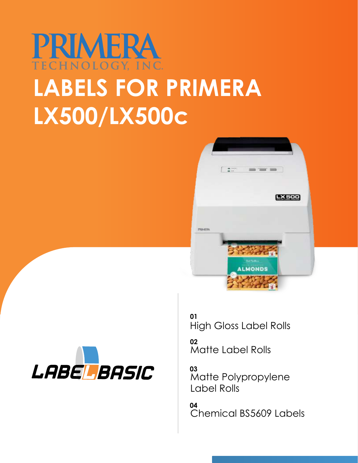# PRIMERA **LABELS FOR PRIMERA LX500/LX500c**





**[01](#page-1-0)** [High Gloss Label Rolls](#page-1-0)

[Matte Label Rolls](#page-2-0) **[02](#page-2-0)**

[Matte Polypropylene](#page-3-0) [Label Rolls](#page-3-0) **[03](#page-3-0)**

[Chemical BS5609 Labels](#page-4-0) **[04](#page-4-0)**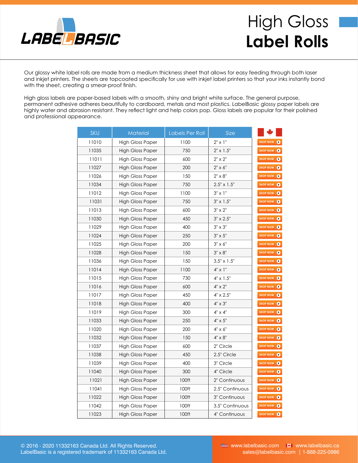<span id="page-1-0"></span>

## High Gloss **Label Rolls**

Our glossy white label rolls are made from a medium thickness sheet that allows for easy feeding through both laser and inkjet printers. The sheets are topcoated specifically for use with inkjet label printers so that your inks instantly bond with the sheet, creating a smear-proof finish.

High gloss labels are paper-based labels with a smooth, shiny and bright white surface. The general purpose, permanent adhesive adheres beautifully to cardboard, metals and most plastics. LabelBasic glossy paper labels are highly water and abrasion resistant. They reflect light and help colors pop. Gloss labels are popular for their polished and professional appearance.

| <b>SKU</b> | Material                | Labels Per Roll | Size                 |                   |
|------------|-------------------------|-----------------|----------------------|-------------------|
| 11010      | <b>High Gloss Paper</b> | 1100            | $2" \times 1"$       | SHOP NOW <b>O</b> |
| 11035      | <b>High Gloss Paper</b> | 750             | $2" \times 1.5"$     | SHOP NOW <b>O</b> |
| 11011      | High Gloss Paper        | 600             | 2" x 2"              | SHOP NOW <b>O</b> |
| 11027      | <b>High Gloss Paper</b> | 200             | $2" \times 6"$       | SHOP NOW <b>O</b> |
| 11026      | <b>High Gloss Paper</b> | 150             | $2" \times 8"$       | SHOP NOW          |
| 11034      | <b>High Gloss Paper</b> | 750             | $2.5" \times 1.5"$   | SHOP NOW          |
| 11012      | <b>High Gloss Paper</b> | 1100            | $3" \times 1"$       | SHOP NOW <b>O</b> |
| 11031      | <b>High Gloss Paper</b> | 750             | $3'' \times 1.5''$   | SHOP NOW <b>O</b> |
| 11013      | <b>High Gloss Paper</b> | 600             | $3" \times 2"$       | SHOP NOW          |
| 11030      | <b>High Gloss Paper</b> | 450             | $3'' \times 2.5''$   | SHOP NOW <b>O</b> |
| 11029      | High Gloss Paper        | 400             | $3'' \times 3''$     | SHOP NOW <b>O</b> |
| 11024      | High Gloss Paper        | 250             | $3" \times 5"$       | SHOP NOW          |
| 11025      | High Gloss Paper        | 200             | $3" \times 6"$       | SHOP NOW <b>O</b> |
| 11028      | High Gloss Paper        | 150             | $3" \times 8"$       | SHOP NOW <b>O</b> |
| 11036      | <b>High Gloss Paper</b> | 150             | $3.5'' \times 1.5''$ | SHOP NOW <b>O</b> |
| 11014      | <b>High Gloss Paper</b> | 1100            | $4" \times 1"$       | SHOP NOW          |
| 11015      | <b>High Gloss Paper</b> | 730             | $4'' \times 1.5''$   | SHOP NOW <b>O</b> |
| 11016      | <b>High Gloss Paper</b> | 600             | $4" \times 2"$       | SHOP NOW <b>O</b> |
| 11017      | <b>High Gloss Paper</b> | 450             | 4" x 2.5"            | SHOP NOW <b>O</b> |
| 11018      | High Gloss Paper        | 400             | $4" \times 3"$       | SHOP NOW <b>O</b> |
| 11019      | <b>High Gloss Paper</b> | 300             | $4" \times 4"$       | SHOP NOW <b>O</b> |
| 11033      | High Gloss Paper        | 250             | $4" \times 5"$       | SHOP NOW <b>O</b> |
| 11020      | High Gloss Paper        | 200             | 4" x 6"              | SHOP NOW <b>O</b> |
| 11032      | <b>High Gloss Paper</b> | 150             | 4" x 8"              | SHOP NOW <b>O</b> |
| 11037      | <b>High Gloss Paper</b> | 600             | 2" Circle            | SHOP NOW <b>O</b> |
| 11038      | <b>High Gloss Paper</b> | 450             | 2.5" Circle          | SHOP NOW <b>O</b> |
| 11039      | <b>High Gloss Paper</b> | 400             | 3" Circle            | SHOP NOW O        |
| 11040      | <b>High Gloss Paper</b> | 300             | 4" Circle            | SHOP NOW          |
| 11021      | High Gloss Paper        | 100ft           | 2" Continuous        | SHOP NOW <b>O</b> |
| 11041      | High Gloss Paper        | 100ft           | 2.5" Continuous      | SHOP NOW <b>O</b> |
| 11022      | High Gloss Paper        | 100ft           | 3" Continuous        | SHOP NOW <b>O</b> |
| 11042      | <b>High Gloss Paper</b> | 100ft           | 3.5" Continuous      | SHOP NOW <b>O</b> |
| 11023      | <b>High Gloss Paper</b> | 100ft           | 4" Continuous        | SHOP NOW <b>O</b> |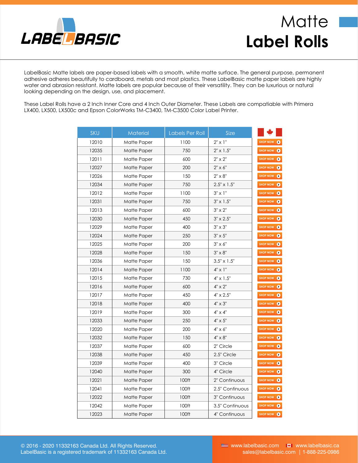<span id="page-2-0"></span>

#### **Matte Label Rolls**

LabelBasic Matte labels are paper-based labels with a smooth, white matte surface. The general purpose, permanent adhesive adheres beautifully to cardboard, metals and most plastics. These LabelBasic matte paper labels are highly water and abrasion resistant. Matte labels are popular because of their versatility. They can be luxurious or natural looking depending on the design, use, and placement.

These Label Rolls have a 2 Inch Inner Core and 4 Inch Outer Diameter. These Labels are compatiable with Primera LX400, LX500, LX500c and Epson ColorWorks TM-C3400, TM-C3500 Color Label Printer.

| <b>SKU</b> | <b>Material</b> | Labels Per Roll | <b>Size</b>          |                   |
|------------|-----------------|-----------------|----------------------|-------------------|
| 12010      | Matte Paper     | 1100            | $2" \times 1"$       | SHOP NOW <b>O</b> |
| 12035      | Matte Paper     | 750             | $2" \times 1.5"$     | SHOP NOW          |
| 12011      | Matte Paper     | 600             | $2" \times 2"$       | SHOP NOW          |
| 12027      | Matte Paper     | 200             | $2" \times 6"$       | SHOP NOW 0        |
| 12026      | Matte Paper     | 150             | $2" \times 8"$       | SHOP NOW          |
| 12034      | Matte Paper     | 750             | $2.5" \times 1.5"$   | SHOP NOW <b>O</b> |
| 12012      | Matte Paper     | 1100            | $3" \times 1"$       | SHOP NOW 0        |
| 12031      | Matte Paper     | 750             | $3'' \times 1.5''$   | SHOP NOW O        |
| 12013      | Matte Paper     | 600             | $3" \times 2"$       | SHOP NOW <b>O</b> |
| 12030      | Matte Paper     | 450             | $3'' \times 2.5''$   | SHOP NOW          |
| 12029      | Matte Paper     | 400             | $3'' \times 3''$     | SHOP NOW          |
| 12024      | Matte Paper     | 250             | $3" \times 5"$       | SHOP NOW 0        |
| 12025      | Matte Paper     | 200             | $3" \times 6"$       | SHOP NOW          |
| 12028      | Matte Paper     | 150             | 3" x 8"              | SHOP NOW <b>O</b> |
| 12036      | Matte Paper     | 150             | $3.5'' \times 1.5''$ | SHOP NOW <b>O</b> |
| 12014      | Matte Paper     | 1100            | $4" \times 1"$       | SHOP NOW 0        |
| 12015      | Matte Paper     | 730             | $4" \times 1.5"$     | SHOP NOW <b>O</b> |
| 12016      | Matte Paper     | 600             | $4" \times 2"$       | SHOP NOW 0        |
| 12017      | Matte Paper     | 450             | $4'' \times 2.5''$   | SHOP NOW <b>O</b> |
| 12018      | Matte Paper     | 400             | $4" \times 3"$       | SHOP NOW 0        |
| 12019      | Matte Paper     | 300             | $4" \times 4"$       | SHOP NOW          |
| 12033      | Matte Paper     | 250             | $4" \times 5"$       | SHOP NOW <b>O</b> |
| 12020      | Matte Paper     | 200             | 4" x 6"              | SHOP NOW 0        |
| 12032      | Matte Paper     | 150             | $4" \times 8"$       | SHOP NOW          |
| 12037      | Matte Paper     | 600             | 2" Circle            | SHOP NOW          |
| 12038      | Matte Paper     | 450             | 2.5" Circle          | SHOP NOW          |
| 12039      | Matte Paper     | 400             | 3" Circle            | SHOP NOW          |
| 12040      | Matte Paper     | 300             | 4" Circle            | SHOP NOW 0        |
| 12021      | Matte Paper     | 100ft           | 2" Continuous        | SHOP NOW          |
| 12041      | Matte Paper     | 100ft           | 2.5" Continuous      | SHOP NOW          |
| 12022      | Matte Paper     | 100ft           | 3" Continuous        | SHOP NOW <b>O</b> |
| 12042      | Matte Paper     | 100ft           | 3.5" Continuous      | SHOP NOW          |
| 12023      | Matte Paper     | 100ft           | 4" Continuous        | SHOP NOW          |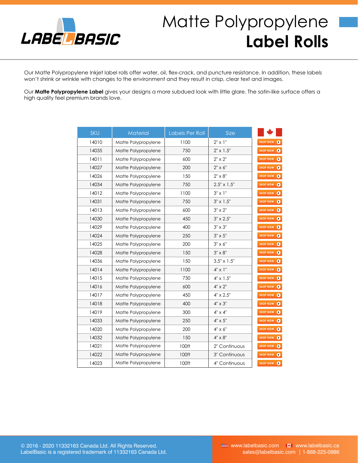<span id="page-3-0"></span>

## Matte Polypropylene **Label Rolls**

Our Matte Polypropylene Inkjet label rolls offer water, oil, flex-crack, and puncture resistance. In addition, these labels won't shrink or wrinkle with changes to the environment and they result in crisp, clear text and images.

Our **Matte Polypropylene Label** gives your designs a more subdued look with little glare. The satin-like surface offers a high quality feel premium brands love.

| <b>SKU</b> | <b>Material</b>     | Labels Per Roll | <b>Size</b>        |                   |
|------------|---------------------|-----------------|--------------------|-------------------|
| 14010      | Matte Polypropylene | 1100            | $2" \times 1"$     | SHOP NOW <b>O</b> |
| 14035      | Matte Polypropylene | 750             | $2" \times 1.5"$   | SHOP NOW <b>O</b> |
| 14011      | Matte Polypropylene | 600             | $2" \times 2"$     | SHOP NOW          |
| 14027      | Matte Polypropylene | 200             | $2" \times 6"$     | SHOP NOW <b>O</b> |
| 14026      | Matte Polypropylene | 150             | $2" \times 8"$     | SHOP NOW <b>O</b> |
| 14034      | Matte Polypropylene | 750             | $2.5" \times 1.5"$ | SHOP NOW <b>O</b> |
| 14012      | Matte Polypropylene | 1100            | $3" \times 1"$     | SHOP NOW          |
| 14031      | Matte Polypropylene | 750             | $3'' \times 1.5''$ | SHOP NOW <b>O</b> |
| 14013      | Matte Polypropylene | 600             | $3" \times 2"$     | SHOP NOW <b>O</b> |
| 14030      | Matte Polypropylene | 450             | $3'' \times 2.5''$ | SHOP NOW <b>O</b> |
| 14029      | Matte Polypropylene | 400             | $3" \times 3"$     | SHOP NOW <b>O</b> |
| 14024      | Matte Polypropylene | 250             | $3" \times 5"$     | SHOP NOW <b>O</b> |
| 14025      | Matte Polypropylene | 200             | $3" \times 6"$     | SHOP NOW <b>O</b> |
| 14028      | Matte Polypropylene | 150             | $3" \times 8"$     | SHOP NOW          |
| 14036      | Matte Polypropylene | 150             | $3.5" \times 1.5"$ | SHOP NOW <b>O</b> |
| 14014      | Matte Polypropylene | 1100            | $4" \times 1"$     | SHOP NOW <b>O</b> |
| 14015      | Matte Polypropylene | 730             | $4" \times 1.5"$   | SHOP NOW <b>O</b> |
| 14016      | Matte Polypropylene | 600             | $4" \times 2"$     | SHOP NOW          |
| 14017      | Matte Polypropylene | 450             | $4" \times 2.5"$   | SHOP NOW <b>O</b> |
| 14018      | Matte Polypropylene | 400             | $4'' \times 3''$   | SHOP NOW 0        |
| 14019      | Matte Polypropylene | 300             | $4" \times 4"$     | SHOP NOW <b>O</b> |
| 14033      | Matte Polypropylene | 250             | $4" \times 5"$     | SHOP NOW <b>O</b> |
| 14020      | Matte Polypropylene | 200             | $4" \times 6"$     | SHOP NOW <b>O</b> |
| 14032      | Matte Polypropylene | 150             | $4" \times 8"$     | SHOP NOW 0        |
| 14021      | Matte Polypropylene | 100ft           | 2" Continuous      | SHOP NOW          |
| 14022      | Matte Polypropylene | 100ft           | 3" Continuous      | SHOP NOW <b>O</b> |
| 14023      | Matte Polypropylene | 100ft           | 4" Continuous      | SHOP NOW <b>O</b> |